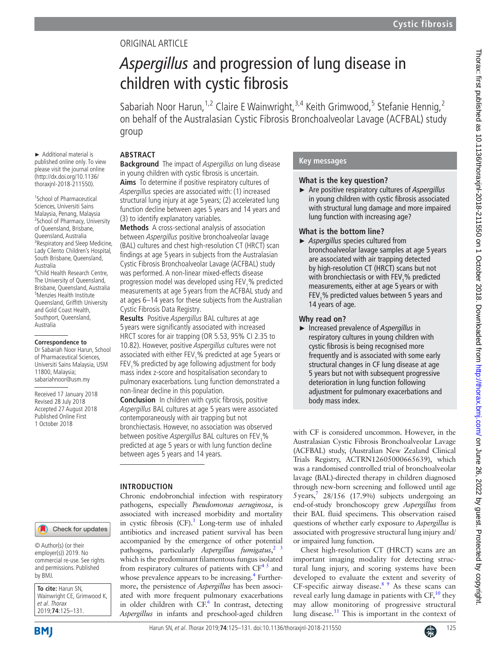# Original article

# *Aspergillus* and progression of lung disease in children with cystic fibrosis

Sabariah Noor Harun,<sup>1,2</sup> Claire E Wainwright,<sup>3,4</sup> Keith Grimwood,<sup>5</sup> Stefanie Hennig,<sup>2</sup> on behalf of the Australasian Cystic Fibrosis Bronchoalveolar Lavage (ACFBAL) study group

# **Abstract**

► Additional material is published online only. To view please visit the journal online (http://dx.doi.org/10.1136/ thoraxjnl-2018-211550).

1 School of Pharmaceutical Sciences, Universiti Sains Malaysia, Penang, Malaysia <sup>2</sup> School of Pharmacy, University of Queensland, Brisbane, Queensland, Australia <sup>3</sup> <sup>3</sup>Respiratory and Sleep Medicine, Lady Cilento Children's Hospital, South Brisbane, Queensland, Australia 4 Child Health Research Centre, The University of Queensland, Brisbane, Queensland, Australia <sup>5</sup> Menzies Health Institute Queensland, Griffith University and Gold Coast Health, Southport, Queensland, Australia

#### **Correspondence to**

Dr Sabariah Noor Harun, School of Pharmaceutical Sciences, Universiti Sains Malaysia, USM 11800, Malaysia; sabariahnoor@usm.my

Received 17 January 2018 Revised 28 July 2018 Accepted 27 August 2018 Published Online First 1 October 2018

#### **Background** The impact of *Aspergillus* on lung disease in young children with cystic fibrosis is uncertain. **Aims** To determine if positive respiratory cultures of Aspergillus species are associated with: (1) increased structural lung injury at age 5 years; (2) accelerated lung function decline between ages 5 years and 14 years and (3) to identify explanatory variables.

**Methods** A cross-sectional analysis of association between Aspergillus positive bronchoalveolar lavage (BAL) cultures and chest high-resolution CT (HRCT) scan findings at age 5 years in subjects from the Australasian Cystic Fibrosis Bronchoalveolar Lavage (ACFBAL) study was performed. A non-linear mixed-effects disease progression model was developed using  $FEV<sub>1</sub>$ % predicted measurements at age 5 years from the ACFBAL study and at ages 6–14 years for these subjects from the Australian Cystic Fibrosis Data Registry.

**Results** Positive Aspergillus BAL cultures at age 5 years were significantly associated with increased HRCT scores for air trapping (OR 5.53, 95% CI 2.35 to 10.82). However, positive Aspergillus cultures were not associated with either FEV<sub>1</sub>% predicted at age 5 years or FEV<sub>1</sub>% predicted by age following adjustment for body mass index z-score and hospitalisation secondary to pulmonary exacerbations. Lung function demonstrated a non-linear decline in this population.

**Conclusion** In children with cystic fibrosis, positive Aspergillus BAL cultures at age 5 years were associated contemporaneously with air trapping but not bronchiectasis. However, no association was observed between positive *Aspergillus* BAL cultures on FEV<sub>1</sub>% predicted at age 5 years or with lung function decline between ages 5 years and 14 years.

# **Introduction**

Chronic endobronchial infection with respiratory pathogens, especially *Pseudomonas aeruginosa*, is associated with increased morbidity and mortality in cystic fibrosis  $(CF)^{1}$ . Long-term use of inhaled antibiotics and increased patient survival has been accompanied by the emergence of other potential pathogens, particularly *Aspergillus fumigatus*, [2 3](#page-6-1) which is the predominant filamentous fungus isolated from respiratory cultures of patients with  $CF^{4.5}$  and whose prevalence appears to be increasing.<sup>[4](#page-6-2)</sup> Furthermore, the persistence of *Aspergillus* has been associated with more frequent pulmonary exacerbations in older children with CF.<sup>[6](#page-6-3)</sup> In contrast, detecting *Aspergillus* in infants and preschool-aged children

# **Key messages**

# **What is the key question?**

► Are positive respiratory cultures of *Aspergillus* in young children with cystic fibrosis associated with structural lung damage and more impaired lung function with increasing age?

# **What is the bottom line?**

► *Aspergillus* species cultured from bronchoalveolar lavage samples at age 5 years are associated with air trapping detected by high-resolution CT (HRCT) scans but not with bronchiectasis or with FEV<sub>1</sub>% predicted measurements, either at age 5 years or with  $FEV<sub>1</sub>$ % predicted values between 5 years and 14 years of age.

# **Why read on?**

► Increased prevalence of *Aspergillus* in respiratory cultures in young children with cystic fibrosis is being recognised more frequently and is associated with some early structural changes in CF lung disease at age 5 years but not with subsequent progressive deterioration in lung function following adjustment for pulmonary exacerbations and body mass index.

with CF is considered uncommon. However, in the Australasian Cystic Fibrosis Bronchoalveolar Lavage (ACFBAL) study, (Australian New Zealand Clinical Trials Registry, ACTRN12605000665639), which was a randomised controlled trial of bronchoalveolar lavage (BAL)-directed therapy in children diagnosed through new-born screening and followed until age 5years[,7](#page-6-4) 28/156 (17.9%) subjects undergoing an end-of-study bronchoscopy grew *Aspergillus* from their BAL fluid specimens. This observation raised questions of whether early exposure to *Aspergillus* is associated with progressive structural lung injury and/ or impaired lung function.

Chest high-resolution CT (HRCT) scans are an important imaging modality for detecting structural lung injury, and scoring systems have been developed to evaluate the extent and severity of CF-specific airway disease. $89$  As these scans can reveal early lung damage in patients with  $CF<sub>10</sub>$  $CF<sub>10</sub>$  $CF<sub>10</sub>$ <sup>10</sup> they may allow monitoring of progressive structural lung disease.<sup>11</sup> This is important in the context of

© Author(s) (or their employer(s)) 2019. No commercial re-use. See rights and permissions. Published by BMJ.

**To cite:** Harun SN, Wainwright CE, Grimwood K, et al. Thorax 2019;**74**:125–131.

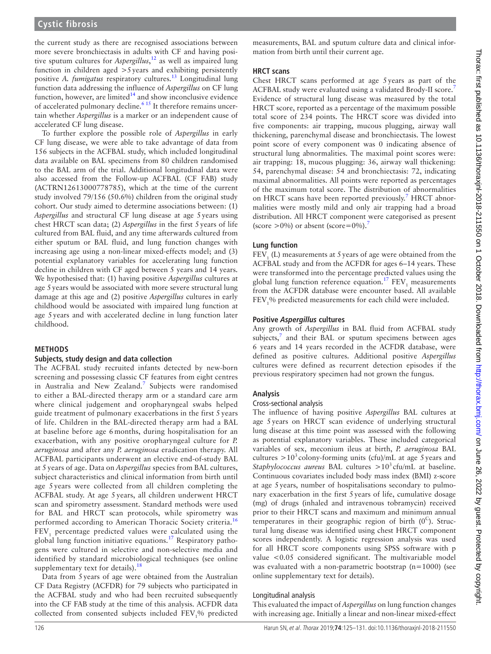the current study as there are recognised associations between more severe bronchiectasis in adults with CF and having positive sputum cultures for *Aspergillus*, [12](#page-6-8) as well as impaired lung function in children aged  $>5$  years and exhibiting persistently positive *A. fumigatus* respiratory cultures.<sup>13</sup> Longitudinal lung function data addressing the influence of *Aspergillus* on CF lung function, however, are limited $14$  and show inconclusive evidence of accelerated pulmonary decline.<sup>[6 15](#page-6-3)</sup> It therefore remains uncertain whether *Aspergillus* is a marker or an independent cause of accelerated CF lung disease.

To further explore the possible role of *Aspergillus* in early CF lung disease, we were able to take advantage of data from 156 subjects in the ACFBAL study, which included longitudinal data available on BAL specimens from 80 children randomised to the BAL arm of the trial. Additional longitudinal data were also accessed from the Follow-up ACFBAL (CF FAB) study (ACTRN12613000778785), which at the time of the current study involved 79/156 (50.6%) children from the original study cohort. Our study aimed to determine associations between: (1) *Aspergillus* and structural CF lung disease at age 5years using chest HRCT scan data; (2) *Aspergillus* in the first 5years of life cultured from BAL fluid, and any time afterwards cultured from either sputum or BAL fluid, and lung function changes with increasing age using a non-linear mixed-effects model; and (3) potential explanatory variables for accelerating lung function decline in children with CF aged between 5 years and 14 years. We hypothesised that: (1) having positive *Aspergillus* cultures at age 5years would be associated with more severe structural lung damage at this age and (2) positive *Aspergillus* cultures in early childhood would be associated with impaired lung function at age 5years and with accelerated decline in lung function later childhood.

#### **Methods**

#### **Subjects, study design and data collection**

The ACFBAL study recruited infants detected by new-born screening and possessing classic CF features from eight centres in Australia and New Zealand.<sup>[7](#page-6-4)</sup> Subjects were randomised to either a BAL-directed therapy arm or a standard care arm where clinical judgement and oropharyngeal swabs helped guide treatment of pulmonary exacerbations in the first 5 years of life. Children in the BAL-directed therapy arm had a BAL at baseline before age 6 months, during hospitalisation for an exacerbation, with any positive oropharyngeal culture for *P. aeruginosa* and after any *P. aeruginosa* eradication therapy. All ACFBAL participants underwent an elective end-of-study BAL at 5 years of age. Data on *Aspergillus* species from BAL cultures, subject characteristics and clinical information from birth until age 5 years were collected from all children completing the ACFBAL study. At age 5 years, all children underwent HRCT scan and spirometry assessment. Standard methods were used for BAL and HRCT scan protocols, while spirometry was performed according to American Thoracic Society criteria.<sup>[16](#page-6-11)</sup>  $FEV<sub>1</sub>$  percentage predicted values were calculated using the global lung function initiative equations.[17](#page-6-12) Respiratory pathogens were cultured in selective and non-selective media and identified by standard microbiological techniques (see online [supplementary text](https://dx.doi.org/10.1136/thoraxjnl-2018-211550) for details).<sup>[18](#page-6-13)</sup>

Data from 5years of age were obtained from the Australian CF Data Registry (ACFDR) for 79 subjects who participated in the ACFBAL study and who had been recruited subsequently into the CF FAB study at the time of this analysis. ACFDR data collected from consented subjects included FEV<sub>1</sub>% predicted

measurements, BAL and sputum culture data and clinical information from birth until their current age.

#### **HRCT scans**

Chest HRCT scans performed at age 5years as part of the ACFBAL study were evaluated using a validated Brody-II score.[7](#page-6-4) Evidence of structural lung disease was measured by the total HRCT score, reported as a percentage of the maximum possible total score of 234 points. The HRCT score was divided into five components: air trapping, mucous plugging, airway wall thickening, parenchymal disease and bronchiectasis. The lowest point score of every component was 0 indicating absence of structural lung abnormalities. The maximal point scores were: air trapping: 18, mucous plugging: 36, airway wall thickening: 54, parenchymal disease: 54 and bronchiectasis: 72, indicating maximal abnormalities. All points were reported as percentages of the maximum total score. The distribution of abnormalities on HRCT scans have been reported previously.<sup>7</sup> HRCT abnormalities were mostly mild and only air trapping had a broad distribution. All HRCT component were categorised as present (score  $>0\%$ ) or absent (score=0%).<sup>[7](#page-6-4)</sup>

# **Lung function**

 $FEV<sub>1</sub>$  (L) measurements at 5 years of age were obtained from the ACFBAL study and from the ACFDR for ages 6–14 years. These were transformed into the percentage predicted values using the global lung function reference equation.<sup>17</sup>  $FEV<sub>1</sub>$  measurements from the ACFDR database were encounter based. All available FEV<sub>1</sub>% predicted measurements for each child were included.

# **Positive Aspergillus cultures**

Any growth of *Aspergillus* in BAL fluid from ACFBAL study subjects, $\frac{7}{7}$  $\frac{7}{7}$  $\frac{7}{7}$  and their BAL or sputum specimens between ages 6 years and 14 years recorded in the ACFDR database, were defined as positive cultures. Additional positive *Aspergillus* cultures were defined as recurrent detection episodes if the previous respiratory specimen had not grown the fungus.

# **Analysis**

#### Cross-sectional analysis

The influence of having positive *Aspergillus* BAL cultures at age 5years on HRCT scan evidence of underlying structural lung disease at this time point was assessed with the following as potential explanatory variables. These included categorical variables of sex, meconium ileus at birth, *P. aeruginosa* BAL cultures  $>10^3$  colony-forming units (cfu)/mL at age 5 years and *Staphylococcus aureus* BAL cultures  $>10^3$  cfu/mL at baseline. Continuous covariates included body mass index (BMI) z-score at age 5years, number of hospitalisations secondary to pulmonary exacerbation in the first 5years of life, cumulative dosage (mg) of drugs (inhaled and intravenous tobramycin) received prior to their HRCT scans and maximum and minimum annual temperatures in their geographic region of birth  $(0^C)$ . Structural lung disease was identified using chest HRCT component scores independently. A logistic regression analysis was used for all HRCT score components using SPSS software with p value <0.05 considered significant. The multivariable model was evaluated with a non-parametric bootstrap (n=1000) (see online [supplementary text](https://dx.doi.org/10.1136/thoraxjnl-2018-211550) for details).

# Longitudinal analysis

This evaluated the impact of *Aspergillus* on lung function changes with increasing age. Initially a linear and non-linear mixed-effect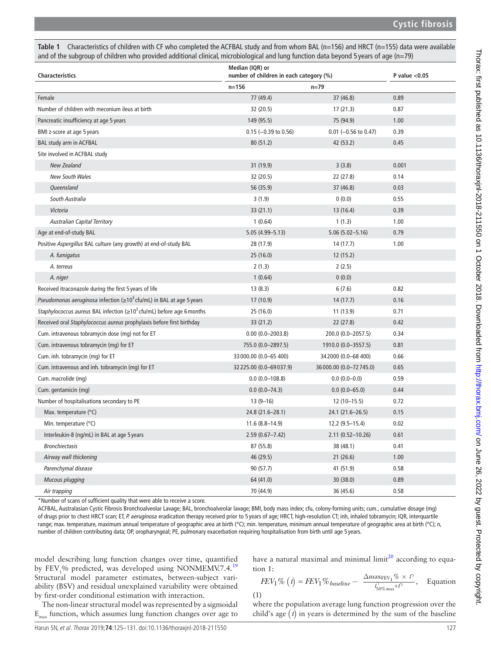Ξ

<span id="page-2-0"></span>

| Table 1 Characteristics of children with CF who completed the ACFBAL study and from whom BAL ( $n=156$ ) and HRCT ( $n=155$ ) data were available |
|---------------------------------------------------------------------------------------------------------------------------------------------------|
| and of the subgroup of children who provided additional clinical, microbiological and lung function data beyond 5 years of age ( $n=79$ )         |

| Characteristics                                                                     | Median (IQR) or<br>number of children in each category (%) |                          | P value $<$ 0.05 |
|-------------------------------------------------------------------------------------|------------------------------------------------------------|--------------------------|------------------|
|                                                                                     | $n = 156$                                                  | $n = 79$                 |                  |
| Female                                                                              | 77 (49.4)                                                  | 37 (46.8)                | 0.89             |
| Number of children with meconium ileus at birth                                     | 32 (20.5)                                                  | 17(21.3)                 | 0.87             |
| Pancreatic insufficiency at age 5 years                                             | 149 (95.5)                                                 | 75 (94.9)                | 1.00             |
| BMI z-score at age 5 years                                                          | $0.15$ (-0.39 to 0.56)                                     | $0.01$ (-0.56 to 0.47)   | 0.39             |
| BAL study arm in ACFBAL                                                             | 80 (51.2)                                                  | 42 (53.2)                | 0.45             |
| Site involved in ACFBAL study                                                       |                                                            |                          |                  |
| <b>New Zealand</b>                                                                  | 31 (19.9)                                                  | 3(3.8)                   | 0.001            |
| <b>New South Wales</b>                                                              | 32 (20.5)                                                  | 22 (27.8)                | 0.14             |
| Queensland                                                                          | 56 (35.9)                                                  | 37 (46.8)                | 0.03             |
| South Australia                                                                     | 3(1.9)                                                     | 0(0.0)                   | 0.55             |
| Victoria                                                                            | 33 (21.1)                                                  | 13 (16.4)                | 0.39             |
| <b>Australian Capital Territory</b>                                                 | 1(0.64)                                                    | 1(1.3)                   | 1.00             |
| Age at end-of-study BAL                                                             | $5.05(4.99 - 5.13)$                                        | $5.06(5.02 - 5.16)$      | 0.79             |
| Positive Aspergillus BAL culture (any growth) at end-of-study BAL                   | 28 (17.9)                                                  | 14 (17.7)                | 1.00             |
| A. fumigatus                                                                        | 25 (16.0)                                                  | 12(15.2)                 |                  |
| A. terreus                                                                          | 2(1.3)                                                     | 2(2.5)                   |                  |
| A. niger                                                                            | 1(0.64)                                                    | 0(0.0)                   |                  |
| Received itraconazole during the first 5 years of life                              | 13(8.3)                                                    | 6(7.6)                   | 0.82             |
| <i>Pseudomonas aeruginosa</i> infection ( $\geq 10^3$ cfu/mL) in BAL at age 5 years | 17 (10.9)                                                  | 14(17.7)                 | 0.16             |
| Staphylococcus aureus BAL infection ( $\geq 10^3$ cfu/mL) before age 6 months       | 25 (16.0)                                                  | 11 (13.9)                | 0.71             |
| Received oral Staphylococcus aureus prophylaxis before first birthday               | 33 (21.2)                                                  | 22 (27.8)                | 0.42             |
| Cum. intravenous tobramycin dose (mg) not for ET                                    | $0.00(0.0 - 2003.8)$                                       | 200.0 (0.0-2057.5)       | 0.34             |
| Cum. intravenous tobramycin (mg) for ET                                             | 755.0 (0.0-2897.5)                                         | 1910.0 (0.0-3557.5)      | 0.81             |
| Cum. inh. tobramycin (mg) for ET                                                    | 33 000.00 (0.0-65 400)                                     | 34 2000 (0.0 - 68 400)   | 0.66             |
| Cum. intravenous and inh. tobramycin (mg) for ET                                    | 32 225.00 (0.0-69 037.9)                                   | 36 000.00 (0.0-72 745.0) | 0.65             |
| Cum. macrolide (mg)                                                                 | $0.0(0.0 - 108.8)$                                         | $0.0(0.0-0.0)$           | 0.59             |
| Cum. gentamicin (mg)                                                                | $0.0(0.0 - 74.3)$                                          | $0.0(0.0 - 65.0)$        | 0.44             |
| Number of hospitalisations secondary to PE                                          | $13(9-16)$                                                 | $12(10-15.5)$            | 0.72             |
| Max. temperature (°C)                                                               | 24.8 (21.6-28.1)                                           | 24.1 (21.6-26.5)         | 0.15             |
| Min. temperature $(^{\circ}C)$                                                      | $11.6(8.8 - 14.9)$                                         | $12.2(9.5-15.4)$         | 0.02             |
| Interleukin-8 (ng/mL) in BAL at age 5 years                                         | $2.59(0.67 - 7.42)$                                        | 2.11 (0.52-10.26)        | 0.61             |
| <b>Bronchiectasis</b>                                                               | 87 (55.8)                                                  | 38 (48.1)                | 0.41             |
| Airway wall thickening                                                              | 46 (29.5)                                                  | 21 (26.6)                | 1.00             |
| Parenchymal disease                                                                 | 90 (57.7)                                                  | 41 (51.9)                | 0.58             |
| <b>Mucous plugging</b>                                                              | 64 (41.0)                                                  | 30 (38.0)                | 0.89             |
| Air trapping                                                                        | 70 (44.9)                                                  | 36 (45.6)                | 0.58             |

\*Number of scans of sufficient quality that were able to receive a score.

ACFBAL, Australasian Cystic Fibrosis Bronchoalveolar Lavage; BAL, bronchoalveolar lavage; BMI, body mass index; cfu, colony-forming units; cum., cumulative dosage (mg) of drugs prior to chest HRCT scan; ET, *P. aeruginosa* eradication therapy received prior to 5 years of age; HRCT, high-resolution CT; inh, inhaled tobramycin; IQR, interquartile range; max. temperature, maximum annual temperature of geographic area at birth (°C); min. temperature, minimum annual temperature of geographic area at birth (°C); n, number of children contributing data; OP, oropharyngeal; PE, pulmonary exacerbation requiring hospitalisation from birth until age 5 years.

model describing lung function changes over time, quantified by  $FEV<sub>1</sub>$ % predicted, was developed using NONMEMV.7.4.<sup>[19](#page-6-14)</sup> Structural model parameter estimates, between-subject variability (BSV) and residual unexplained variability were obtained by first-order conditional estimation with interaction.

The non-linear structural model was represented by a sigmoidal  $E_{\text{max}}$  function, which assumes lung function changes over age to

have a natural maximal and minimal limit $2<sup>0</sup>$  according to equation 1:

$$
FEV_1\% (t) = FEV_1\% \text{ baseline} - \frac{\Delta \max_{\text{FEV}_1} \% \times t^{\gamma}}{t_{50\% \max}^{\gamma} + t^{\gamma}}, \quad \text{Equation}
$$

(1)

where the population average lung function progression over the child's age  $(t)$  in years is determined by the sum of the baseline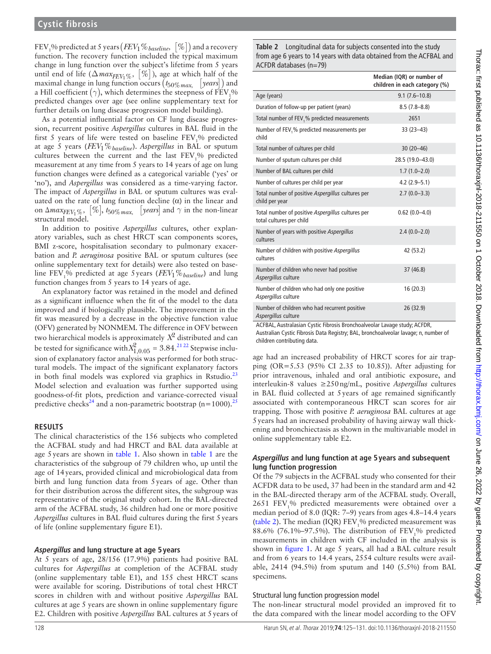FEV1 % predicted at 5 years ( *FEV*1%*baseline*, [ %]) and a recovery function. The recovery function included the typical maximum change in lung function over the subject's lifetime from 5 years until end of life  $(\Delta \text{max}_{FEV_1\%}, [\%])$ , age at which half of the maximal change in lung function occurs  $(t_{50\%\text{max}}$ , [years]) and a Hill coefficient  $(\gamma)$ , which determines the steepness of  $\overrightarrow{FEV}_1$ % predicted changes over age (see online [supplementary text](https://dx.doi.org/10.1136/thoraxjnl-2018-211550) for further details on lung disease progression model building).

As a potential influential factor on CF lung disease progression, recurrent positive *Aspergillus* cultures in BAL fluid in the first 5 years of life were tested on baseline  $FEV<sub>1</sub>$ % predicted at age 5 years (*FEV*1%*baseline*). *Aspergillus* in BAL or sputum cultures between the current and the last  $\text{FEV}_1\%$  predicted measurement at any time from 5 years to 14 years of age on lung function changes were defined as a categorical variable ('yes' or 'no'), and *Aspergillus* was considered as a time-varying factor. The impact of *Aspergillus* in BAL or sputum cultures was evaluated on the rate of lung function decline  $(\alpha)$  in the linear and on  $\triangle max_{FEV_1\%}, [\%], t_{50\%max}, [years]$  and  $\gamma$  in the non-linear structural model.

In addition to positive *Aspergillus* cultures, other explanatory variables, such as chest HRCT scan components scores, BMI z-score, hospitalisation secondary to pulmonary exacerbation and *P. aeruginosa* positive BAL or sputum cultures (see online [supplementary text](https://dx.doi.org/10.1136/thoraxjnl-2018-211550) for details) were also tested on baseline FEV1 % predicted at age 5years (*FEV*1%*baseline*) and lung function changes from 5 years to 14 years of age.

An explanatory factor was retained in the model and defined as a significant influence when the fit of the model to the data improved and if biologically plausible. The improvement in the fit was measured by a decrease in the objective function value (OFV) generated by NONMEM. The difference in OFV between two hierarchical models is approximately *X*<sup>2</sup> distributed and can be tested for significance with  $X_{1,0.05}^2 = 3.84$ .<sup>21.22</sup> Stepwise inclusion of explanatory factor analysis was performed for both structural models. The impact of the significant explanatory factors in both final models was explored via graphics in Rstudio.<sup>[23](#page-6-17)</sup> Model selection and evaluation was further supported using goodness-of-fit plots, prediction and variance-corrected visual predictive checks<sup>[24](#page-6-18)</sup> and a non-parametric bootstrap ( $n=1000$ ).<sup>[25](#page-6-19)</sup>

# **Results**

The clinical characteristics of the 156 subjects who completed the ACFBAL study and had HRCT and BAL data available at age 5years are shown in [table](#page-2-0) 1. Also shown in [table](#page-2-0) 1 are the characteristics of the subgroup of 79 children who, up until the age of 14years, provided clinical and microbiological data from birth and lung function data from 5years of age. Other than for their distribution across the different sites, the subgroup was representative of the original study cohort. In the BAL-directed arm of the ACFBAL study, 36 children had one or more positive *Aspergillus* cultures in BAL fluid cultures during the first 5years of life (online [supplementary figure E1\)](https://dx.doi.org/10.1136/thoraxjnl-2018-211550).

#### **Aspergillus and lung structure at age 5years**

At 5 years of age, 28/156 (17.9%) patients had positive BAL cultures for *Aspergillus* at completion of the ACFBAL study (online [supplementary table E1](https://dx.doi.org/10.1136/thoraxjnl-2018-211550)), and 155 chest HRCT scans were available for scoring. Distributions of total chest HRCT scores in children with and without positive *Aspergillus* BAL cultures at age 5 years are shown in online [supplementary figure](https://dx.doi.org/10.1136/thoraxjnl-2018-211550)  [E2.](https://dx.doi.org/10.1136/thoraxjnl-2018-211550) Children with positive *Aspergillus* BAL cultures at 5years of <span id="page-3-0"></span>**Table 2** Longitudinal data for subjects consented into the study from age 6 years to 14 years with data obtained from the ACFBAL and ACFDR databases (n=79)

|                                                                               | Median (IQR) or number of<br>children in each category (%) |
|-------------------------------------------------------------------------------|------------------------------------------------------------|
| Age (years)                                                                   | $9.1(7.6 - 10.8)$                                          |
| Duration of follow-up per patient (years)                                     | $8.5(7.8-8.8)$                                             |
| Total number of FEV <sub>1</sub> % predicted measurements                     | 2651                                                       |
| Number of FEV,% predicted measurements per<br>child                           | $33(23-43)$                                                |
| Total number of cultures per child                                            | $30(20-46)$                                                |
| Number of sputum cultures per child                                           | 28.5 (19.0-43.0)                                           |
| Number of BAL cultures per child                                              | $1.7(1.0-2.0)$                                             |
| Number of cultures per child per year                                         | $4.2(2.9-5.1)$                                             |
| Total number of positive Aspergillus cultures per<br>child per year           | $2.7(0.0-3.3)$                                             |
| Total number of positive Aspergillus cultures per<br>total cultures per child | $0.62(0.0-4.0)$                                            |
| Number of years with positive Aspergillus<br>cultures                         | $2.4(0.0 - 2.0)$                                           |
| Number of children with positive Aspergillus<br>cultures                      | 42 (53.2)                                                  |
| Number of children who never had positive<br>Aspergillus culture              | 37 (46.8)                                                  |
| Number of children who had only one positive<br>Aspergillus culture           | 16 (20.3)                                                  |
| Number of children who had recurrent positive<br>Aspergillus culture          | 26 (32.9)                                                  |

ACFBAL, Australasian Cystic Fibrosis Bronchoalveolar Lavage study; ACFDR,

Australian Cystic Fibrosis Data Registry; BAL, bronchoalveolar lavage; n, number of children contributing data.

age had an increased probability of HRCT scores for air trapping (OR=5.53 (95% CI 2.35 to 10.85)). After adjusting for prior intravenous, inhaled and oral antibiotic exposure, and interleukin-8 values ≥250ng/mL, positive *Aspergillus* cultures in BAL fluid collected at 5years of age remained significantly associated with contemporaneous HRCT scan scores for air trapping. Those with positive *P. aeruginosa* BAL cultures at age 5years had an increased probability of having airway wall thickening and bronchiectasis as shown in the multivariable model in online [supplementary table E2](https://dx.doi.org/10.1136/thoraxjnl-2018-211550).

# **Aspergillus and lung function at age 5years and subsequent lung function progression**

Of the 79 subjects in the ACFBAL study who consented for their ACFDR data to be used, 37 had been in the standard arm and 42 in the BAL-directed therapy arm of the ACFBAL study. Overall, 2651 FEV<sub>1</sub>% predicted measurements were obtained over a median period of 8.0 (IQR: 7–9) years from ages 4.8–14.4 years ([table](#page-3-0) 2). The median (IQR)  $FEV_1\%$  predicted measurement was 88.6% (76.1%-97.5%). The distribution of  $FEV<sub>1</sub>$ % predicted measurements in children with CF included in the analysis is shown in [figure](#page-4-0) 1. At age 5 years, all had a BAL culture result and from 6 years to 14.4 years, 2554 culture results were available, 2414 (94.5%) from sputum and 140 (5.5%) from BAL specimens.

#### Structural lung function progression model

The non-linear structural model provided an improved fit to the data compared with the linear model according to the OFV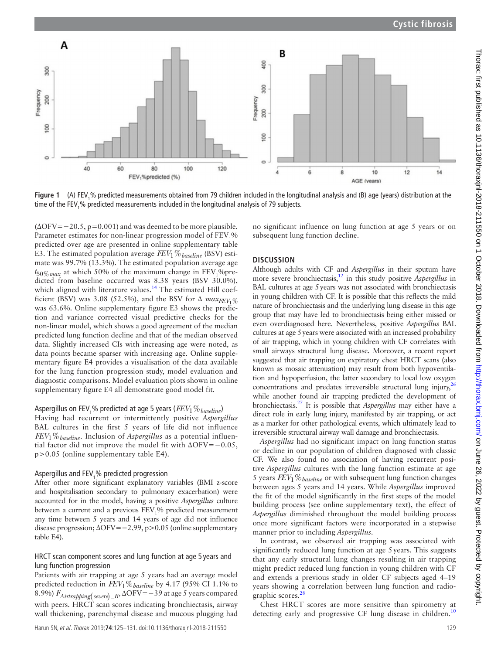

<span id="page-4-0"></span>**Figure 1** (A) FEV<sub>1</sub>% predicted measurements obtained from 79 children included in the longitudinal analysis and (B) age (years) distribution at the time of the FEV $_{\scriptscriptstyle 1}$ % predicted measurements included in the longitudinal analysis of 79 subjects.

 $(\Delta$ OFV=−20.5, p=0.001) and was deemed to be more plausible. Parameter estimates for non-linear progression model of  $\text{FEV}_1\%$ predicted over age are presented in online [supplementary table](https://dx.doi.org/10.1136/thoraxjnl-2018-211550)  [E3.](https://dx.doi.org/10.1136/thoraxjnl-2018-211550) The estimated population average *FEV*1%*baseline* (BSV) estimate was 99.7% (13.3%). The estimated population average age  $t_{50\%max}$  at which 50% of the maximum change in  $\text{FEV}_1$ %predicted from baseline occurred was 8.38 years (BSV 30.0%), which aligned with literature values.<sup>14</sup> The estimated Hill coefficient (BSV) was 3.08 (52.5%), and the BSV for  $\Delta$  *max<sub>FEV</sub>*. was 63.6%. Online [supplementary figure E3](https://dx.doi.org/10.1136/thoraxjnl-2018-211550) shows the prediction and variance corrected visual predictive checks for the non-linear model, which shows a good agreement of the median predicted lung function decline and that of the median observed data. Slightly increased CIs with increasing age were noted, as data points became sparser with increasing age. Online [supple](https://dx.doi.org/10.1136/thoraxjnl-2018-211550)[mentary figure E4](https://dx.doi.org/10.1136/thoraxjnl-2018-211550) provides a visualisation of the data available for the lung function progression study, model evaluation and diagnostic comparisons. Model evaluation plots shown in online [supplementary figure E4](https://dx.doi.org/10.1136/thoraxjnl-2018-211550) all demonstrate good model fit.

# Aspergillus on FEV1 % predicted at age 5 years (*FEV*1%*baseline*)

Having had recurrent or intermittently positive *Aspergillus* BAL cultures in the first 5 years of life did not influence *FEV*1%*baseline*. Inclusion of *Aspergillus* as a potential influential factor did not improve the model fit with ΔOFV=−0.05, p>0.05 (online [supplementary table E4\)](https://dx.doi.org/10.1136/thoraxjnl-2018-211550).

# Aspergillus and  $\textsf{FEV}_1\%$  predicted progression

After other more significant explanatory variables (BMI z-score and hospitalisation secondary to pulmonary exacerbation) were accounted for in the model, having a positive *Aspergillus* culture between a current and a previous FEV<sub>1</sub>% predicted measurement any time between 5 years and 14 years of age did not influence disease progression; ΔOFV=−2.99, p>0.05 (online [supplementary](https://dx.doi.org/10.1136/thoraxjnl-2018-211550)  [table E4](https://dx.doi.org/10.1136/thoraxjnl-2018-211550)).

#### HRCT scan component scores and lung function at age 5 years and lung function progression

Patients with air trapping at age 5 years had an average model predicted reduction in *FEV*1%*baseline* by 4.17 (95% CI 1.1% to 8.9%)  $F_{Airtrapping(severe)_B$ ,  $\Delta$ OFV=−39 at age 5 years compared with peers. HRCT scan scores indicating bronchiectasis, airway wall thickening, parenchymal disease and mucous plugging had

no significant influence on lung function at age 5 years or on subsequent lung function decline.

# **Discussion**

Although adults with CF and *Aspergillus* in their sputum have more severe bronchiectasis[,12](#page-6-8) in this study positive *Aspergillus* in BAL cultures at age 5years was not associated with bronchiectasis in young children with CF. It is possible that this reflects the mild nature of bronchiectasis and the underlying lung disease in this age group that may have led to bronchiectasis being either missed or even overdiagnosed here. Nevertheless, positive *Aspergillus* BAL cultures at age 5years were associated with an increased probability of air trapping, which in young children with CF correlates with small airways structural lung disease. Moreover, a recent report suggested that air trapping on expiratory chest HRCT scans (also known as mosaic attenuation) may result from both hypoventilation and hypoperfusion, the latter secondary to local low oxygen concentrations and predates irreversible structural lung injury, $^{26}$ while another found air trapping predicted the development of bronchiectasis[.27](#page-6-21) It is possible that *Aspergillus* may either have a direct role in early lung injury, manifested by air trapping, or act as a marker for other pathological events, which ultimately lead to irreversible structural airway wall damage and bronchiectasis.

*Aspergillus* had no significant impact on lung function status or decline in our population of children diagnosed with classic CF. We also found no association of having recurrent positive *Aspergillus* cultures with the lung function estimate at age 5 years *FEV*1%*baseline* or with subsequent lung function changes between ages 5 years and 14 years. While *Aspergillus* improved the fit of the model significantly in the first steps of the model building process (see online [supplementary text](https://dx.doi.org/10.1136/thoraxjnl-2018-211550)), the effect of *Aspergillus* diminished throughout the model building process once more significant factors were incorporated in a stepwise manner prior to including *Aspergillus*.

In contrast, we observed air trapping was associated with significantly reduced lung function at age 5years. This suggests that any early structural lung changes resulting in air trapping might predict reduced lung function in young children with CF and extends a previous study in older CF subjects aged 4–19 years showing a correlation between lung function and radio-graphic scores.<sup>[28](#page-6-22)</sup>

Chest HRCT scores are more sensitive than spirometry at detecting early and progressive CF lung disease in children.<sup>[10](#page-6-6)</sup>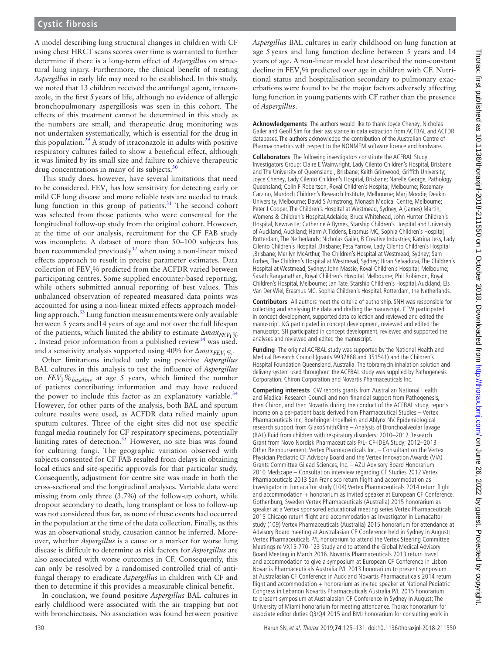# **Cystic fibrosis**

A model describing lung structural changes in children with CF using chest HRCT scans scores over time is warranted to further determine if there is a long-term effect of *Aspergillus* on structural lung injury. Furthermore, the clinical benefit of treating *Aspergillus* in early life may need to be established. In this study, we noted that 13 children received the antifungal agent, itraconazole, in the first 5years of life, although no evidence of allergic bronchopulmonary aspergillosis was seen in this cohort. The effects of this treatment cannot be determined in this study as the numbers are small, and therapeutic drug monitoring was not undertaken systematically, which is essential for the drug in this population.<sup>29</sup> A study of itraconazole in adults with positive respiratory cultures failed to show a beneficial effect, although it was limited by its small size and failure to achieve therapeutic drug concentrations in many of its subjects.<sup>30</sup>

This study does, however, have several limitations that need to be considered.  $\text{FEV}_1$  has low sensitivity for detecting early or mild CF lung disease and more reliable tests are needed to track lung function in this group of patients. $31$  The second cohort was selected from those patients who were consented for the longitudinal follow-up study from the original cohort. However, at the time of our analysis, recruitment for the CF FAB study was incomplete. A dataset of more than 50–100 subjects has been recommended previously $32$  when using a non-linear mixed effects approach to result in precise parameter estimates. Data collection of FEV<sub>1</sub>% predicted from the ACFDR varied between participating centres. Some supplied encounter-based reporting, while others submitted annual reporting of best values. This unbalanced observation of repeated measured data points was accounted for using a non-linear mixed effects approach modelling approach.[33](#page-6-27) Lung function measurements were only available between 5 years and14 years of age and not over the full lifespan of the patients, which limited the ability to estimate  $\Delta max_{FFV_1\%}$ . Instead prior information from a published review<sup>14</sup> was used, and a sensitivity analysis supported using  $40\%$  for  $\Delta max_{FFV_1} \ll 1$ .

Other limitations included only using positive *Aspergillus* BAL cultures in this analysis to test the influence of *Aspergillus* on *FEV*1%*baseline* at age 5 years, which limited the number of patients contributing information and may have reduced the power to include this factor as an explanatory variable.<sup>[34](#page-6-28)</sup> However, for other parts of the analysis, both BAL and sputum culture results were used, as ACFDR data relied mainly upon sputum cultures. Three of the eight sites did not use specific fungal media routinely for CF respiratory specimens, potentially limiting rates of detection. $35$  However, no site bias was found for culturing fungi. The geographic variation observed with subjects consented for CF FAB resulted from delays in obtaining local ethics and site-specific approvals for that particular study. Consequently, adjustment for centre site was made in both the cross-sectional and the longitudinal analyses. Variable data were missing from only three (3.7%) of the follow-up cohort, while dropout secondary to death, lung transplant or loss to follow-up was not considered thus far, as none of these events had occurred in the population at the time of the data collection. Finally, as this was an observational study, causation cannot be inferred. Moreover, whether *Aspergillus* is a cause or a marker for worse lung disease is difficult to determine as risk factors for *Aspergillus* are also associated with worse outcomes in CF. Consequently, this can only be resolved by a randomised controlled trial of antifungal therapy to eradicate *Aspergillus* in children with CF and then to determine if this provides a measurable clinical benefit.

In conclusion, we found positive *Aspergillus* BAL cultures in early childhood were associated with the air trapping but not with bronchiectasis. No association was found between positive

*Aspergillus* BAL cultures in early childhood on lung function at age 5years and lung function decline between 5 years and 14 years of age. A non-linear model best described the non-constant decline in  $\text{FEV}_1^0\%$  predicted over age in children with CF. Nutritional status and hospitalisation secondary to pulmonary exacerbations were found to be the major factors adversely affecting lung function in young patients with CF rather than the presence of *Aspergillus*.

**Acknowledgements** The authors would like to thank Joyce Cheney, Nicholas Gailer and Geoff Sim for their assistance in data extraction from ACFBAL and ACFDR databases. The authors acknowledge the contribution of the Australian Centre of Pharmacometrics with respect to the NONMEM software licence and hardware.

**Collaborators** The following investigators constitute the ACFBAL Study Investigators Group: Claire E Wainwright, Lady Cilento Children's Hospital, Brisbane and The University of Queensland , Brisbane; Keith Grimwood, Griffith University; Joyce Cheney, Lady Cilento Children's Hospital, Brisbane; Narelle George, Pathology Queensland; Colin F Robertson, Royal Children's Hospital, Melbourne; Rosemary Carzino, Murdoch Children's Research Institute, Melbourne; Marj Moodie, Deakin University, Melbourne; David S Armstrong, Monash Medical Centre, Melbourne; Peter J Cooper, The Children's Hospital at Westmead, Sydney; A (James) Martin, Womens & Children's Hospital,Adelaide; Bruce Whitehead, John Hunter Children's Hospital, Newcastle; Catherine A Byrnes, Starship Children's Hospital and University of Auckland, Auckland; Harm A Tiddens, Erasmus MC, Sophia Children's Hospital, Rotterdam, The Netherlands; Nicholas Gailer, B Creative Industries; Katrina Jess, Lady Cilento Children's Hospital ,Brisbane; Peta Yarrow, Lady Cilento Children's Hospital ,Brisbane; Merilyn McArthur, The Children's Hospital at Westmead, Sydney; Sam Forbes, The Children's Hospital at Westmead, Sydney; Hiran Selvadurai, The Children's Hospital at Westmead, Sydney; John Massie, Royal Children's Hospital, Melbourne; Sarath Ranganathan, Royal Children's Hospital, Melbourne; Phil Robinson, Royal Children's Hospital, Melbourne; Jan Tate, Starship Children's Hospital, Auckland; Els Van Der Wiel, Erasmus MC, Sophia Children's Hospital, Rotterdam, the Netherlands.

**Contributors** All authors meet the criteria of authorship. SNH was responsible for collecting and analysing the data and drafting the manuscript. CEW participated in concept development, supported data collection and reviewed and edited the manuscript. KG participated in concept development, reviewed and edited the manuscript. SH participated in concept development, reviewed and supported the analyses and reviewed and edited the manuscript.

Funding The original ACFBAL study was supported by the National Health and Medical Research Council (grants 9937868 and 351541) and the Children's Hospital Foundation Queensland, Australia. The tobramycin inhalation solution and delivery system used throughout the ACFBAL study was supplied by Pathogenesis Corporation, Chiron Corporation and Novartis Pharmaceuticals Inc.

**Competing interests** CW reports grants from Australian National Health and Medical Research Council and non-financial support from Pathogenesis, then Chiron, and then Novartis during the conduct of the ACFBAL study, reports income on a per-patient basis derived from Pharmaceutical Studies – Vertex Pharmaceuticals Inc, Boehringer-Ingelheim and Ablynx NV. Epidemiological research support from GlaxoSmithKline – Analysis of Bronchoalveolar lavage (BAL) fluid from children with respiratory disorders; 2010–2012 Research Grant from Novo Nordisk Pharmaceuticals P/L- CF-IDEA Study; 2012–2013 Other Reimbursement: Vertex Pharmaceuticals Inc. – Consultant on the Vertex Physician Pediatric CF Advisory Board and the Vertex Innovation Awards (VIA) Grants Committee Gilead Sciences, Inc. – AZLI Advisory Board Honorarium 2010 Medscape – Consultation interview regarding CF Studies 2012 Vertex Pharmaceuticals 2013 San Francisco return flight and accommodation as Investigator in Lumacaftor study (104) Vertex Pharmaceuticals 2014 return flight and accommodation + honorarium as invited speaker at European CF Conference, Gothenburg, Sweden Vertex Pharmaceuticals (Australia) 2015 honorarium as speaker at a Vertex sponsored educational meeting series Vertex Pharmaceuticals 2015 Chicago return flight and accommodation as Investigator in Lumacaftor study (109) Vertex Pharmaceuticals (Australia) 2015 honorarium for attendance at Advisory Board meeting at Australasian CF Conference held in Sydney in August; Vertex Pharmaceuticals P/L honorarium to attend the Vertex Steering Committee Meetings re VX15-770-123 Study and to attend the Global Medical Advisory Board Meeting in March 2016. Novartis Pharmaceuticals 2013 return travel and accommodation to give a symposium at European CF Conference in Lisbon Novartis Pharmaceuticals Australia P/L 2013 honorarium to present symposium at Australasian CF Conference in Auckland Novartis Pharmaceuticals 2014 return flight and accommodation + honorarium as invited speaker at National Pediatric Congress in Lebanon Novartis Pharmaceuticals Australia P/L 2015 honorarium to present symposium at Australasian CF Conference in Sydney in August; The University of Miami honorarium for meeting attendance. Thorax honorarium for associate editor duties Q3/Q4 2015 and BMJ honorarium for consulting work in